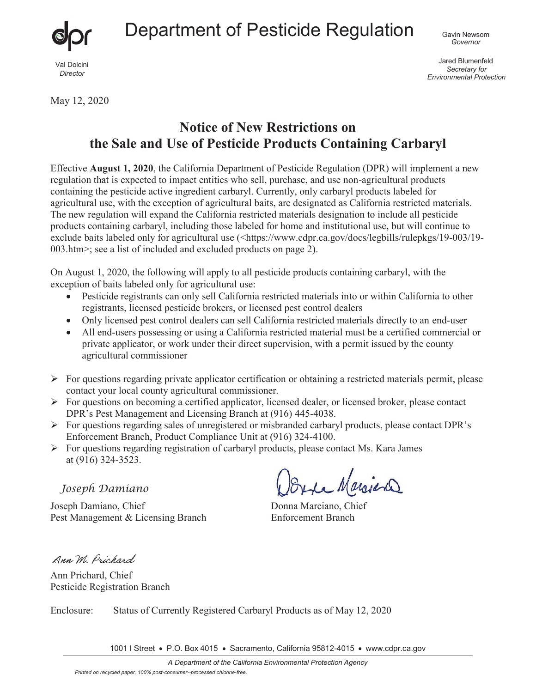

Jared Blumenfeld *Secretary for Environmental Protection*

May 12, 2020

## **Notice of New Restrictions on the Sale and Use of Pesticide Products Containing Carbaryl**

Effective **August 1, 2020**, the California Department of Pesticide Regulation (DPR) will implement a new regulation that is expected to impact entities who sell, purchase, and use non-agricultural products containing the pesticide active ingredient carbaryl. Currently, only carbaryl products labeled for agricultural use, with the exception of agricultural baits, are designated as California restricted materials. The new regulation will expand the California restricted materials designation to include all pesticide products containing carbaryl, including those labeled for home and institutional use, but will continue to exclude baits labeled only for agricultural use (<https://www.cdpr.ca.gov/docs/legbills/rulepkgs/19-003/19-003.htm>; see a list of included and excluded products on page 2).

On August 1, 2020, the following will apply to all pesticide products containing carbaryl, with the exception of baits labeled only for agricultural use:

- Pesticide registrants can only sell California restricted materials into or within California to other registrants, licensed pesticide brokers, or licensed pest control dealers
- Only licensed pest control dealers can sell California restricted materials directly to an end-user
- All end-users possessing or using a California restricted material must be a certified commercial or private applicator, or work under their direct supervision, with a permit issued by the county agricultural commissioner
- $\triangleright$  For questions regarding private applicator certification or obtaining a restricted materials permit, please contact your local county agricultural commissioner.
- $\triangleright$  For questions on becoming a certified applicator, licensed dealer, or licensed broker, please contact DPR's Pest Management and Licensing Branch at (916) 445-4038.
- $\triangleright$  For questions regarding sales of unregistered or misbranded carbaryl products, please contact DPR's Enforcement Branch, Product Compliance Unit at (916) 324-4100.
- $\triangleright$  For questions regarding registration of carbaryl products, please contact Ms. Kara James at (916) 324-3523.

*Joseph Damiano* 

Joseph Damiano, Chief Donna Marciano, Chief Pest Management & Licensing Branch Enforcement Branch

Orre Marciano

Ann M. Prichard

Ann Prichard, Chief Pesticide Registration Branch

Enclosure: Status of Currently Registered Carbaryl Products as of May 12, 2020

1001 I Street • P.O. Box 4015 • Sacramento, California 95812-4015 • www.cdpr.ca.gov